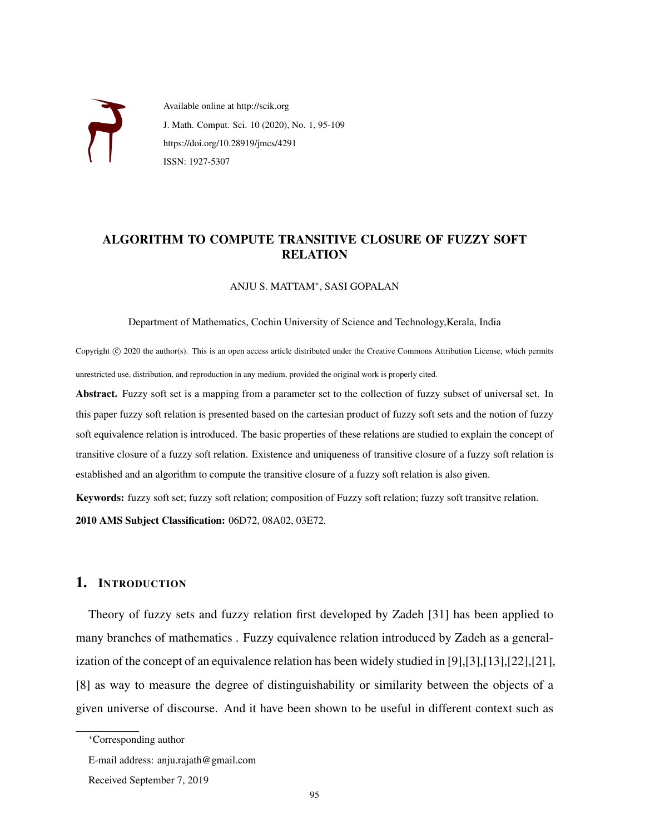

Available online at http://scik.org J. Math. Comput. Sci. 10 (2020), No. 1, 95-109 https://doi.org/10.28919/jmcs/4291 ISSN: 1927-5307

## ALGORITHM TO COMPUTE TRANSITIVE CLOSURE OF FUZZY SOFT RELATION

ANJU S. MATTAM<sup>∗</sup> , SASI GOPALAN

Department of Mathematics, Cochin University of Science and Technology,Kerala, India

Copyright © 2020 the author(s). This is an open access article distributed under the Creative Commons Attribution License, which permits unrestricted use, distribution, and reproduction in any medium, provided the original work is properly cited.

Abstract. Fuzzy soft set is a mapping from a parameter set to the collection of fuzzy subset of universal set. In this paper fuzzy soft relation is presented based on the cartesian product of fuzzy soft sets and the notion of fuzzy soft equivalence relation is introduced. The basic properties of these relations are studied to explain the concept of transitive closure of a fuzzy soft relation. Existence and uniqueness of transitive closure of a fuzzy soft relation is established and an algorithm to compute the transitive closure of a fuzzy soft relation is also given.

Keywords: fuzzy soft set; fuzzy soft relation; composition of Fuzzy soft relation; fuzzy soft transitve relation. 2010 AMS Subject Classification: 06D72, 08A02, 03E72.

#### 1. INTRODUCTION

Theory of fuzzy sets and fuzzy relation first developed by Zadeh [31] has been applied to many branches of mathematics . Fuzzy equivalence relation introduced by Zadeh as a generalization of the concept of an equivalence relation has been widely studied in [9],[3],[13],[22],[21], [8] as way to measure the degree of distinguishability or similarity between the objects of a given universe of discourse. And it have been shown to be useful in different context such as

<sup>∗</sup>Corresponding author

E-mail address: anju.rajath@gmail.com

Received September 7, 2019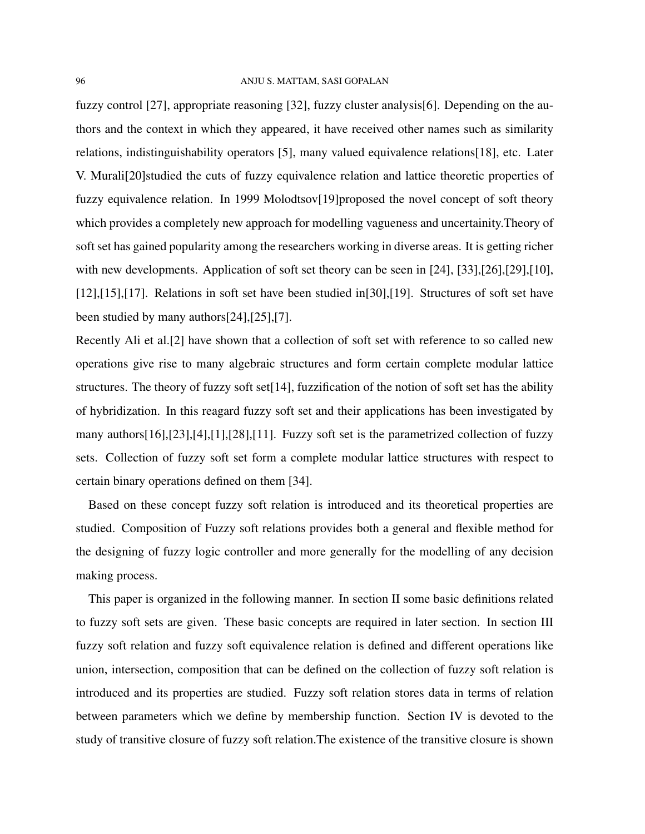fuzzy control [27], appropriate reasoning [32], fuzzy cluster analysis[6]. Depending on the authors and the context in which they appeared, it have received other names such as similarity relations, indistinguishability operators [5], many valued equivalence relations[18], etc. Later V. Murali[20]studied the cuts of fuzzy equivalence relation and lattice theoretic properties of fuzzy equivalence relation. In 1999 Molodtsov[19]proposed the novel concept of soft theory which provides a completely new approach for modelling vagueness and uncertainity.Theory of soft set has gained popularity among the researchers working in diverse areas. It is getting richer with new developments. Application of soft set theory can be seen in [24], [33], [26], [29], [10], [12],[15],[17]. Relations in soft set have been studied in[30],[19]. Structures of soft set have been studied by many authors[24],[25],[7].

Recently Ali et al.[2] have shown that a collection of soft set with reference to so called new operations give rise to many algebraic structures and form certain complete modular lattice structures. The theory of fuzzy soft set[14], fuzzification of the notion of soft set has the ability of hybridization. In this reagard fuzzy soft set and their applications has been investigated by many authors[16],[23],[4],[1],[28],[11]. Fuzzy soft set is the parametrized collection of fuzzy sets. Collection of fuzzy soft set form a complete modular lattice structures with respect to certain binary operations defined on them [34].

Based on these concept fuzzy soft relation is introduced and its theoretical properties are studied. Composition of Fuzzy soft relations provides both a general and flexible method for the designing of fuzzy logic controller and more generally for the modelling of any decision making process.

This paper is organized in the following manner. In section II some basic definitions related to fuzzy soft sets are given. These basic concepts are required in later section. In section III fuzzy soft relation and fuzzy soft equivalence relation is defined and different operations like union, intersection, composition that can be defined on the collection of fuzzy soft relation is introduced and its properties are studied. Fuzzy soft relation stores data in terms of relation between parameters which we define by membership function. Section IV is devoted to the study of transitive closure of fuzzy soft relation.The existence of the transitive closure is shown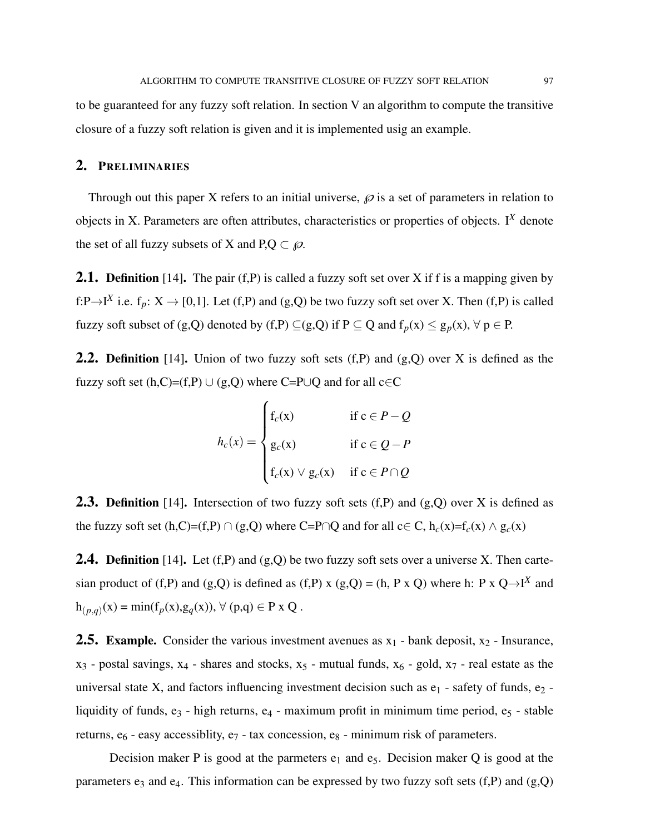to be guaranteed for any fuzzy soft relation. In section V an algorithm to compute the transitive closure of a fuzzy soft relation is given and it is implemented usig an example.

#### 2. PRELIMINARIES

Through out this paper X refers to an initial universe,  $\wp$  is a set of parameters in relation to objects in X. Parameters are often attributes, characteristics or properties of objects. I*<sup>X</sup>* denote the set of all fuzzy subsets of X and  $P,Q \subset \varnothing$ .

**2.1. Definition** [14]. The pair  $(f, P)$  is called a fuzzy soft set over X if f is a mapping given by f:P $\rightarrow$ I<sup>X</sup> i.e. f<sub>p</sub>: X  $\rightarrow$  [0,1]. Let (f,P) and (g,Q) be two fuzzy soft set over X. Then (f,P) is called fuzzy soft subset of (g,Q) denoted by (f,P)  $\subseteq$  (g,Q) if P  $\subseteq$  Q and  $f_p(x) \leq g_p(x)$ ,  $\forall p \in P$ .

**2.2. Definition** [14]. Union of two fuzzy soft sets  $(f,P)$  and  $(g,Q)$  over X is defined as the fuzzy soft set  $(h,C)=(f,P) \cup (g,Q)$  where C=P∪Q and for all c∈C

$$
h_c(x) = \begin{cases} f_c(x) & \text{if } c \in P - Q \\ g_c(x) & \text{if } c \in Q - P \\ f_c(x) \vee g_c(x) & \text{if } c \in P \cap Q \end{cases}
$$

**2.3. Definition** [14]. Intersection of two fuzzy soft sets  $(f, P)$  and  $(g, Q)$  over X is defined as the fuzzy soft set (h,C)=(f,P) ∩ (g,Q) where C=P∩Q and for all c∈ C, h<sub>c</sub>(x)=f<sub>c</sub>(x) ∧ g<sub>c</sub>(x)

**2.4. Definition** [14]. Let  $(f, P)$  and  $(g, Q)$  be two fuzzy soft sets over a universe X. Then cartesian product of (f,P) and (g,Q) is defined as (f,P) x (g,Q) = (h, P x Q) where h: P x  $Q \rightarrow I^X$  and  $h_{(p,q)}(x) = min(f_p(x), g_q(x)),$  ∀ (p,q) ∈ P x Q.

**2.5. Example.** Consider the various investment avenues as  $x_1$  - bank deposit,  $x_2$  - Insurance,  $x_3$  - postal savings,  $x_4$  - shares and stocks,  $x_5$  - mutual funds,  $x_6$  - gold,  $x_7$  - real estate as the universal state X, and factors influencing investment decision such as  $e_1$  - safety of funds,  $e_2$  liquidity of funds,  $e_3$  - high returns,  $e_4$  - maximum profit in minimum time period,  $e_5$  - stable returns,  $e_6$  - easy accessibility,  $e_7$  - tax concession,  $e_8$  - minimum risk of parameters.

Decision maker P is good at the parmeters  $e_1$  and  $e_5$ . Decision maker Q is good at the parameters  $e_3$  and  $e_4$ . This information can be expressed by two fuzzy soft sets (f,P) and (g,Q)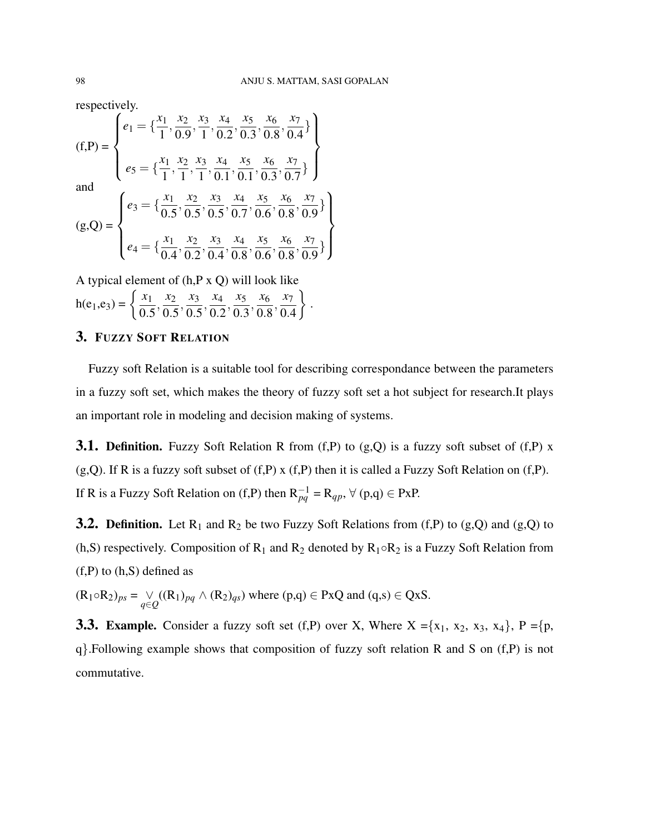respectively.

(f,P) = 
$$
\begin{cases} e_1 = \{\frac{x_1}{1}, \frac{x_2}{0.9}, \frac{x_3}{1}, \frac{x_4}{0.2}, \frac{x_5}{0.3}, \frac{x_6}{0.8}, \frac{x_7}{0.4}\} \\ e_5 = \{\frac{x_1}{1}, \frac{x_2}{1}, \frac{x_3}{1}, \frac{x_4}{0.1}, \frac{x_5}{0.1}, \frac{x_6}{0.3}, \frac{x_7}{0.7}\} \\ \text{and} \\ (g,Q) = \begin{cases} e_3 = \{\frac{x_1}{0.5}, \frac{x_2}{0.5}, \frac{x_3}{0.5}, \frac{x_4}{0.7}, \frac{x_5}{0.6}, \frac{x_6}{0.8}, \frac{x_7}{0.9}\} \\ e_4 = \{\frac{x_1}{0.4}, \frac{x_2}{0.2}, \frac{x_3}{0.4}, \frac{x_4}{0.8}, \frac{x_5}{0.6}, \frac{x_6}{0.8}, \frac{x_7}{0.9}\} \end{cases} \end{cases}
$$

A typical element of (h,P x Q) will look like  $h(e_1,e_3) = \left\{\frac{x_1}{0.4}\right\}$ 0.5  $\frac{x_2}{2}$ 0.5  $\frac{x_3}{2}$ 0.5  $\frac{x_4}{2}$ 0.2  $\frac{x_5}{2}$ 0.3  $\frac{x_6}{2}$ 0.8  $\frac{x}{2}$ 0.4  $\mathcal{L}$ .

# 3. FUZZY SOFT RELATION

Fuzzy soft Relation is a suitable tool for describing correspondance between the parameters in a fuzzy soft set, which makes the theory of fuzzy soft set a hot subject for research.It plays an important role in modeling and decision making of systems.

**3.1. Definition.** Fuzzy Soft Relation R from  $(f, P)$  to  $(g, Q)$  is a fuzzy soft subset of  $(f, P)$  x  $(g,Q)$ . If R is a fuzzy soft subset of  $(f,P)$  x  $(f,P)$  then it is called a Fuzzy Soft Relation on  $(f,P)$ . If R is a Fuzzy Soft Relation on (f,P) then  $R_{pq}^{-1} = R_{qp}$ ,  $\forall$  (p,q)  $\in$  PxP.

**3.2. Definition.** Let  $R_1$  and  $R_2$  be two Fuzzy Soft Relations from (f,P) to (g,Q) and (g,Q) to (h,S) respectively. Composition of R<sub>1</sub> and R<sub>2</sub> denoted by  $R_1 \circ R_2$  is a Fuzzy Soft Relation from  $(f,P)$  to  $(h,S)$  defined as

 $(R_1 \circ R_2)_{ps} = \bigvee_{q \in Q} ((R_1)_{pq} \wedge (R_2)_{qs})$  where  $(p,q) \in PxQ$  and  $(q,s) \in QxS$ .

**3.3. Example.** Consider a fuzzy soft set (f,P) over X, Where  $X = \{x_1, x_2, x_3, x_4\}$ ,  $P = \{p,$ q}.Following example shows that composition of fuzzy soft relation R and S on (f,P) is not commutative.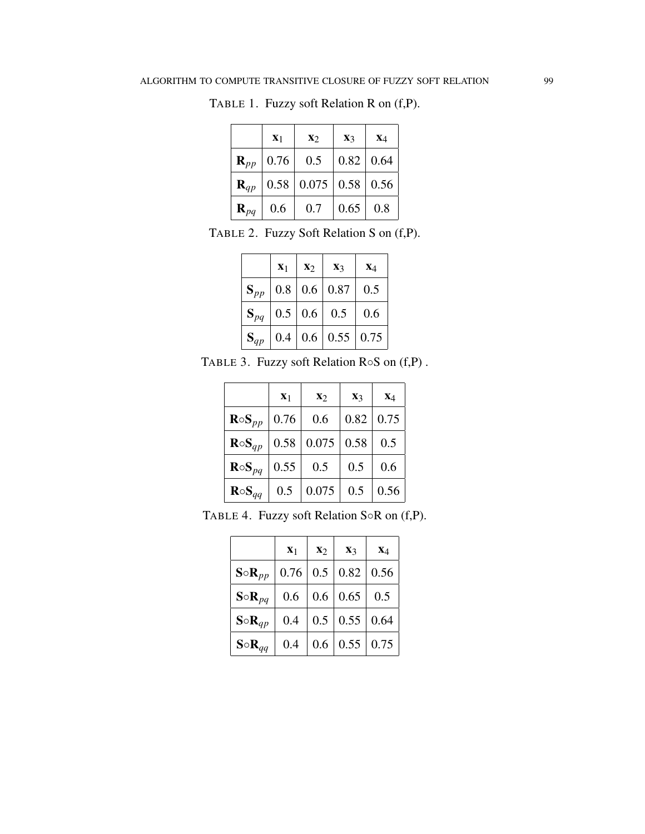|                   | $X_1$ | $\mathbf{X}$                          | $\mathbf{X}$ 3   | $X_4$ |
|-------------------|-------|---------------------------------------|------------------|-------|
| $\mathbf{R}_{pp}$ | 0.76  | 0.5                                   | $0.82 \mid 0.64$ |       |
| $\mathbf{R}_{qp}$ |       | $0.58 \mid 0.075 \mid 0.58 \mid 0.56$ |                  |       |
| $\mathbf{R}_{pq}$ | 0.6   | 0.7                                   | 0.65             | 0.8   |

TABLE 1. Fuzzy soft Relation R on (f,P).

TABLE 2. Fuzzy Soft Relation S on (f,P).

|          | $X_1$   | $\mathbf{x}_2$ | $\mathbf{X}_3$                  | $X_4$ |
|----------|---------|----------------|---------------------------------|-------|
| $S_{pp}$ |         |                | $0.8 \mid 0.6 \mid 0.87$        | 0.5   |
| $S_{pq}$ |         |                | $\vert 0.5 \vert 0.6 \vert 0.5$ | 0.6   |
| $S_{qp}$ | $0.4\,$ |                | $0.6 \mid 0.55 \mid 0.75$       |       |

TABLE 3. Fuzzy soft Relation R◦S on (f,P) .

|                  | $X_1$ | $\mathbf{X}$ | $\mathbf{X}$ 3 | $X_4$ |
|------------------|-------|--------------|----------------|-------|
| $R \circ S_{pp}$ | 0.76  | 0.6          | 0.82           | 0.75  |
| $R \circ S_{qp}$ | 0.58  | 0.075        | 0.58           | 0.5   |
| $R \circ S_{pq}$ | 0.55  | 0.5          | 0.5            | 0.6   |
| $R \circ S_{qq}$ | 0.5   | 0.075        | 0.5            | 0.56  |

| TABLE 4. Fuzzy soft Relation $S \circ R$ on $(f, P)$ . |  |  |  |  |  |  |
|--------------------------------------------------------|--|--|--|--|--|--|
|--------------------------------------------------------|--|--|--|--|--|--|

|                  | $X_1$   | $\mathbf{x}_2$ | $\mathbf{X}_3$     | $X_4$ |
|------------------|---------|----------------|--------------------|-------|
| $S \circ R_{pp}$ | 0.76    | 0.5            | 0.82               | 0.56  |
| $S \circ R_{pq}$ | $0.6\,$ | 0.6            | $\vert 0.65 \vert$ | 0.5   |
| $S \circ R_{qp}$ | 0.4     | 0.5            | $\vert 0.55 \vert$ | 0.64  |
| $S \circ R_{qq}$ | 0.4     | 0.6            | 0.55               | 0.75  |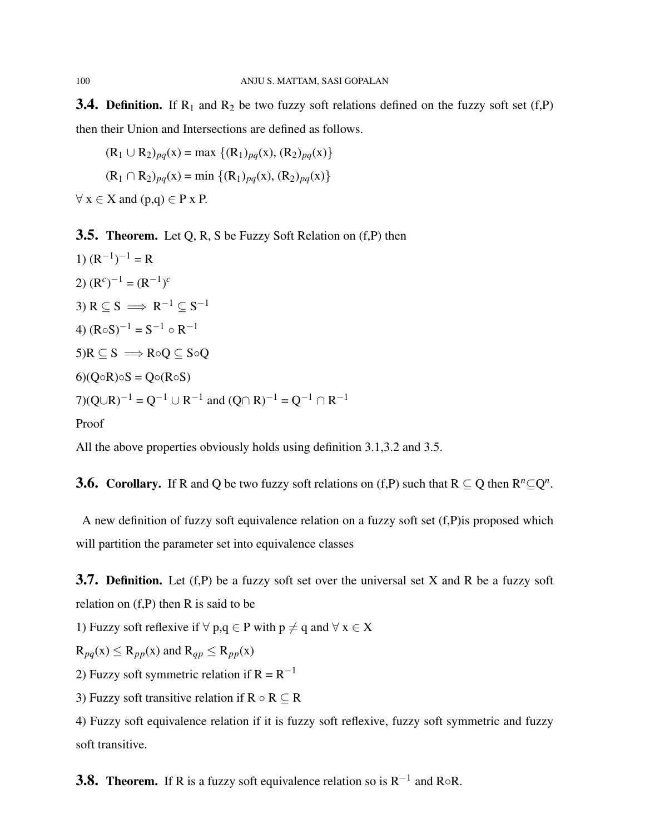**3.4. Definition.** If  $R_1$  and  $R_2$  be two fuzzy soft relations defined on the fuzzy soft set (f,P) then their Union and Intersections are defined as follows.

$$
(R_1 \cup R_2)_{pq}(x) = \max \{ (R_1)_{pq}(x), (R_2)_{pq}(x) \}
$$
  

$$
(R_1 \cap R_2)_{pq}(x) = \min \{ (R_1)_{pq}(x), (R_2)_{pq}(x) \}
$$

 $\forall x \in X$  and  $(p,q) \in P x P$ .

**3.5. Theorem.** Let Q, R, S be Fuzzy Soft Relation on (f,P) then

1) 
$$
(R^{-1})^{-1} = R
$$
  
\n2)  $(R^{c})^{-1} = (R^{-1})^{c}$   
\n3)  $R \subseteq S \implies R^{-1} \subseteq S^{-1}$   
\n4)  $(R \circ S)^{-1} = S^{-1} \circ R^{-1}$   
\n5)  $R \subseteq S \implies R \circ Q \subseteq S \circ Q$   
\n6)  $(Q \circ R) \circ S = Q \circ (R \circ S)$   
\n7)  $(Q \cup R)^{-1} = Q^{-1} \cup R^{-1}$  and  $(Q \cap R)^{-1} = Q^{-1} \cap R^{-1}$ 

Proof

All the above properties obviously holds using definition 3.1,3.2 and 3.5.

**3.6.** Corollary. If R and Q be two fuzzy soft relations on (f,P) such that  $R \subseteq Q$  then  $R^n \subseteq Q^n$ .

A new definition of fuzzy soft equivalence relation on a fuzzy soft set (f,P)is proposed which will partition the parameter set into equivalence classes

**3.7. Definition.** Let  $(f, P)$  be a fuzzy soft set over the universal set X and R be a fuzzy soft relation on (f,P) then R is said to be

1) Fuzzy soft reflexive if  $\forall p, q \in P$  with  $p \neq q$  and  $\forall x \in X$ 

 $R_{pq}(x) \le R_{pp}(x)$  and  $R_{qp} \le R_{pp}(x)$ 

2) Fuzzy soft symmetric relation if  $R = R^{-1}$ 

3) Fuzzy soft transitive relation if  $R \circ R \subseteq R$ 

4) Fuzzy soft equivalence relation if it is fuzzy soft reflexive, fuzzy soft symmetric and fuzzy soft transitive.

**3.8. Theorem.** If R is a fuzzy soft equivalence relation so is  $R^{-1}$  and R∘R.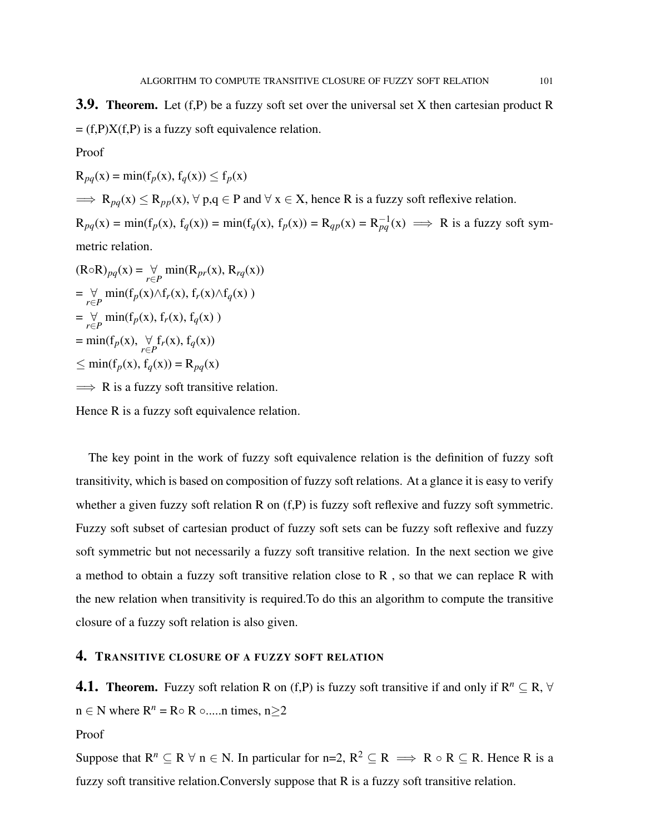**3.9. Theorem.** Let  $(f, P)$  be a fuzzy soft set over the universal set X then cartesian product R  $= (f.P)X(f.P)$  is a fuzzy soft equivalence relation.

Proof

 $R_{pq}(x) = min(f_p(x), f_q(x)) \le f_p(x)$  $\Rightarrow$  R<sub>pq</sub>(x)  $\le$  R<sub>pp</sub>(x),  $\forall$  p,q  $\in$  P and  $\forall$  x  $\in$  X, hence R is a fuzzy soft reflexive relation.  $R_{pq}(x) = min(f_p(x), f_q(x)) = min(f_q(x), f_p(x)) = R_{qp}(x) = R_{pq}^{-1}(x) \implies R$  is a fuzzy soft symmetric relation.

 $(\text{R}\circ\text{R})_{pq}(\text{x}) = \bigvee_{r\in P} \min(\text{R}_{pr}(\text{x}), \text{R}_{rq}(\text{x}))$  $=\bigvee_{r\in P}$  min(f<sub>p</sub>(x) $\wedge$ f<sub>r</sub>(x), f<sub>r</sub>(x) $\wedge$ f<sub>q</sub>(x))  $=\bigvee_{r\in P}$  min(f<sub>p</sub>(x), f<sub>r</sub>(x), f<sub>q</sub>(x))  $= min(f_p(x), \forall_{r \in P} f_r(x), f_q(x))$ ≤ min(f*p*(x), f*q*(x)) = R*pq*(x)  $\implies$  R is a fuzzy soft transitive relation.

Hence R is a fuzzy soft equivalence relation.

The key point in the work of fuzzy soft equivalence relation is the definition of fuzzy soft transitivity, which is based on composition of fuzzy soft relations. At a glance it is easy to verify whether a given fuzzy soft relation R on  $(f, P)$  is fuzzy soft reflexive and fuzzy soft symmetric. Fuzzy soft subset of cartesian product of fuzzy soft sets can be fuzzy soft reflexive and fuzzy soft symmetric but not necessarily a fuzzy soft transitive relation. In the next section we give a method to obtain a fuzzy soft transitive relation close to R , so that we can replace R with the new relation when transitivity is required.To do this an algorithm to compute the transitive closure of a fuzzy soft relation is also given.

### 4. TRANSITIVE CLOSURE OF A FUZZY SOFT RELATION

**4.1. Theorem.** Fuzzy soft relation R on (f,P) is fuzzy soft transitive if and only if  $R^n \subseteq R$ ,  $\forall$  $n \in N$  where  $R^n = R \circ R \circ \dots$  times,  $n > 2$ 

Proof

Suppose that  $R^n \subseteq R \forall n \in N$ . In particular for n=2,  $R^2 \subseteq R \implies R \circ R \subseteq R$ . Hence R is a fuzzy soft transitive relation.Conversly suppose that R is a fuzzy soft transitive relation.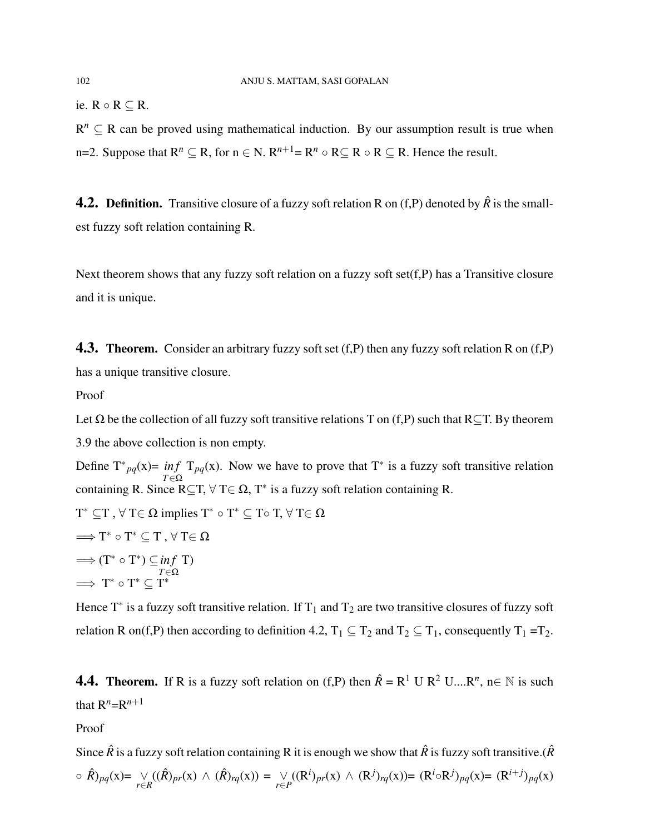ie. R  $\circ$  R  $\subset$  R.

 $R^n \subseteq R$  can be proved using mathematical induction. By our assumption result is true when n=2. Suppose that  $R^n \subseteq R$ , for  $n \in N$ .  $R^{n+1} = R^n \circ R \subseteq R \circ R \subseteq R$ . Hence the result.

**4.2. Definition.** Transitive closure of a fuzzy soft relation R on  $(f, P)$  denoted by  $\hat{R}$  is the smallest fuzzy soft relation containing R.

Next theorem shows that any fuzzy soft relation on a fuzzy soft set $(f, P)$  has a Transitive closure and it is unique.

**4.3. Theorem.** Consider an arbitrary fuzzy soft set  $(f, P)$  then any fuzzy soft relation R on  $(f, P)$ has a unique transitive closure.

Proof

Let  $\Omega$  be the collection of all fuzzy soft transitive relations T on (f,P) such that R⊂T. By theorem 3.9 the above collection is non empty. Define  $T^*_{pq}(x) = inf T_{pq}(x)$ . Now we have to prove that  $T^*$  is a fuzzy soft transitive relation  $T \in \Omega$ <br>containing R. Since R⊆T,  $\forall$  T∈ Ω, T<sup>\*</sup> is a fuzzy soft relation containing R.  $\mathrm{T}^* \subseteq \mathrm{T}$  ,  $\forall$   $\mathrm{T} \in \Omega$  implies  $\mathrm{T}^* \circ \mathrm{T}^* \subseteq \mathrm{T} \circ \mathrm{T}$ ,  $\forall$   $\mathrm{T} \in \Omega$  $\Longrightarrow$  T<sup>\*</sup>  $\circ$  T<sup>\*</sup>  $\subseteq$  T  $, \forall$  T $\in$   $\Omega$ 

 $\implies$   $(T^* \circ T^*) \subseteq inf T$ *T*∈Ω  $\implies$  T<sup>\*</sup>  $\circ$  T<sup>\*</sup>  $\subseteq$  T<sup>\*</sup>

Hence T<sup>\*</sup> is a fuzzy soft transitive relation. If T<sub>1</sub> and T<sub>2</sub> are two transitive closures of fuzzy soft relation R on(f,P) then according to definition 4.2,  $T_1 \subseteq T_2$  and  $T_2 \subseteq T_1$ , consequently  $T_1 = T_2$ .

**4.4. Theorem.** If R is a fuzzy soft relation on (f,P) then  $\hat{R} = R^1 U R^2 U ... R^n$ ,  $n \in \mathbb{N}$  is such that  $R^n = R^{n+1}$ 

Proof

Since  $\hat{R}$  is a fuzzy soft relation containing R it is enough we show that  $\hat{R}$  is fuzzy soft transitive.( $\hat{R}$  $\circ \hat{R}$ <sub>*pq*</sub>(x)=  $\vee_{r \in R} ((\hat{R})_{pr}(x) \wedge (\hat{R})_{rq}(x)) = \vee_{r \in P} ((R^i)_{pr}(x) \wedge (R^j)_{rq}(x)) = (R^i \circ R^j)_{pq}(x) = (R^{i+j})_{pq}(x)$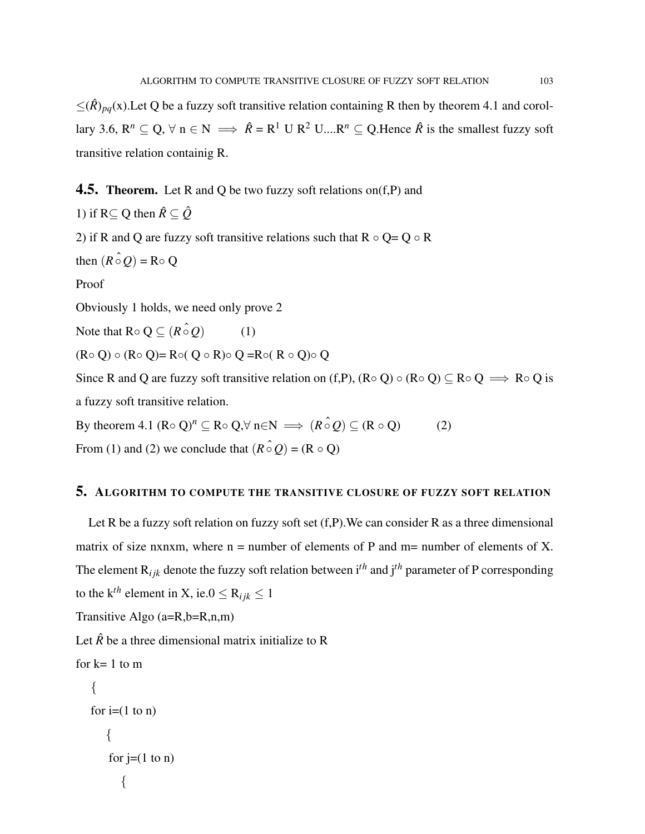$\leq$ ( $\hat{R}$ )<sub>pq</sub>(x). Let Q be a fuzzy soft transitive relation containing R then by theorem 4.1 and corollary 3.6,  $R^n \subseteq Q$ ,  $\forall n \in N \implies \hat{R} = R^1 \cup R^2 \cup ... R^n \subseteq Q$ . Hence  $\hat{R}$  is the smallest fuzzy soft transitive relation containig R.

### **4.5. Theorem.** Let R and Q be two fuzzy soft relations on  $(f, P)$  and

1) if  $R \subseteq Q$  then  $\hat{R} \subseteq \hat{Q}$ 

2) if R and Q are fuzzy soft transitive relations such that  $R \circ Q = Q \circ R$ 

then 
$$
(R \circ Q) = R \circ Q
$$

Proof

Obviously 1 holds, we need only prove 2

Note that  $R \circ Q \subseteq (R \hat{\circ} Q)$  (1)

 $(R \circ Q) \circ (R \circ Q) = R \circ (Q \circ R) \circ Q = R \circ (R \circ Q) \circ Q$ 

Since R and Q are fuzzy soft transitive relation on (f,P),  $(R \circ Q) \circ (R \circ Q) \subseteq R \circ Q \implies R \circ Q$  is a fuzzy soft transitive relation.

By theorem 4.1  $(\mathbb{R} \circ \mathbb{Q})^n \subseteq \mathbb{R} \circ \mathbb{Q}, \forall \mathbb{n} \in \mathbb{N} \implies (\mathbb{R} \circ \mathbb{Q}) \subseteq (\mathbb{R} \circ \mathbb{Q})$  (2)

From (1) and (2) we conclude that  $(R \circ Q) = (R \circ Q)$ 

### 5. ALGORITHM TO COMPUTE THE TRANSITIVE CLOSURE OF FUZZY SOFT RELATION

Let R be a fuzzy soft relation on fuzzy soft set  $(f, P)$ . We can consider R as a three dimensional matrix of size nxnxm, where  $n =$  number of elements of P and  $m =$  number of elements of X. The element  $R_{ijk}$  denote the fuzzy soft relation between  $i^{th}$  and  $j^{th}$  parameter of P corresponding to the k<sup>th</sup> element in X, ie. $0 \le R_{ijk} \le 1$ 

Transitive Algo (a=R,b=R,n,m)

Let  $\hat{R}$  be a three dimensional matrix initialize to R

```
for k=1 to m
    {
    for i=(1 \text{ to } n){
         for j=(1 \text{ to } n){
```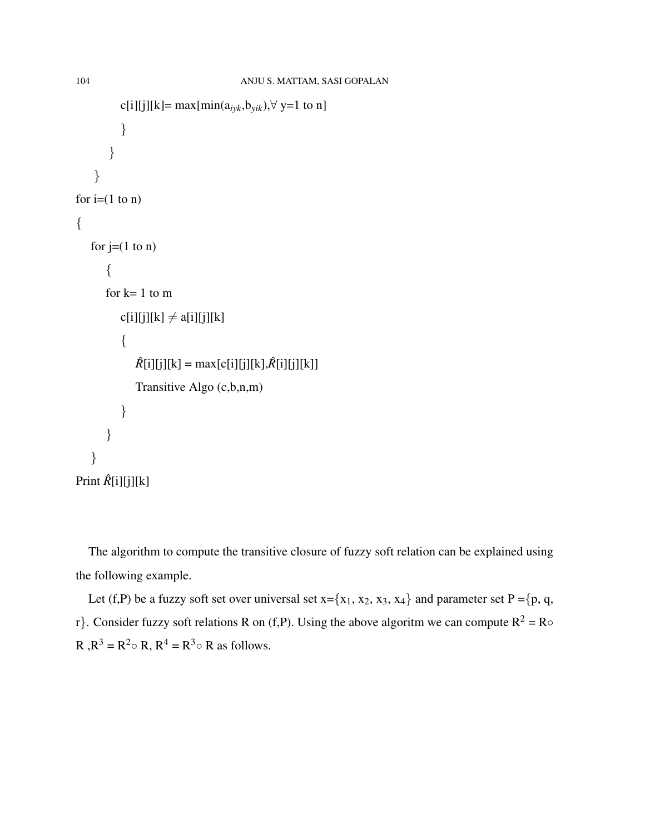```
c[i][j][k]= max[min(a_{ijk},b_{yik}),\forall y=1 to n]
           }
         }
     }
for i=(1 \text{ to } n){
   for j=(1 \text{ to } n){
       for k=1 to m
           c[i][j][k] \neq a[i][j][k]{
               \hat{R}[i][j][k] = \max[c[i][j][k], \hat{R}[i][j][k]]Transitive Algo (c,b,n,m)
           }
       }
   }
Print \hat{R}[i][j][k]
```
The algorithm to compute the transitive closure of fuzzy soft relation can be explained using the following example.

Let (f,P) be a fuzzy soft set over universal set  $x = \{x_1, x_2, x_3, x_4\}$  and parameter set P ={p, q, r}. Consider fuzzy soft relations R on (f,P). Using the above algoritm we can compute  $R^2 = R \circ$ R , $R^3 = R^2 \circ R$ ,  $R^4 = R^3 \circ R$  as follows.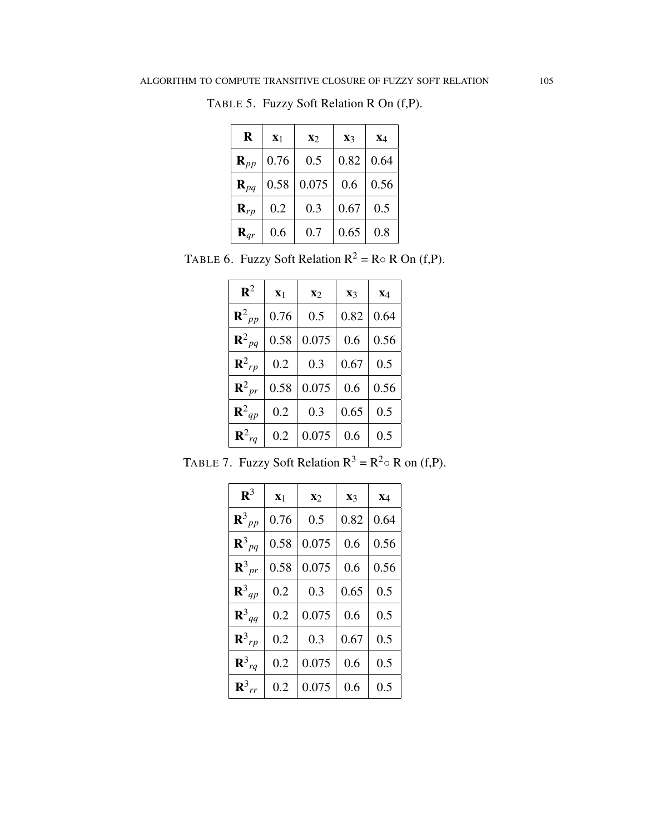| R                 | $\mathbf{X}_1$ | $\mathbf{x}_2$ | $\mathbf{X}$ 3 | $X_4$ |
|-------------------|----------------|----------------|----------------|-------|
| $\mathbf{R}_{pp}$ | 0.76           | 0.5            | 0.82           | 0.64  |
| $\mathbf{R}_{pq}$ | 0.58           | 0.075          | 0.6            | 0.56  |
| $\mathbf{R}_{rp}$ | 0.2            | 0.3            | 0.67           | 0.5   |
| $\mathbf{R}_{qr}$ | 0.6            | 0.7            | 0.65           | 0.8   |

TABLE 5. Fuzzy Soft Relation R On (f,P).

TABLE 6. Fuzzy Soft Relation  $R^2 = R \circ R$  On (f,P).

| ${\bf R}^2$           | X <sub>1</sub> | $\mathbf{x}_2$ | $\mathbf{X}_3$ | $X_4$ |
|-----------------------|----------------|----------------|----------------|-------|
| ${\bf R}^2_{\ \, pp}$ | 0.76           | 0.5            | 0.82           | 0.64  |
| ${\bf R}^2_{pq}$      | 0.58           | 0.075          | 0.6            | 0.56  |
| $\mathbf{R}^2_{rp}$   | 0.2            | 0.3            | 0.67           | 0.5   |
| ${\bf R}^2{}_{pr}$    | 0.58           | 0.075          | 0.6            | 0.56  |
| ${\bf R}^2_{qp}$      | 0.2            | 0.3            | 0.65           | 0.5   |
| ${\bf R}^2_{rq}$      | 0.2            | 0.075          | 0.6            | 0.5   |

TABLE 7. Fuzzy Soft Relation  $R^3 = R^2 \circ R$  on (f,P).

| $\mathbf{R}^3$        | $\mathbf{X}_1$ | $\mathbf{x}_2$ | $\mathbf{X}_3$ | $\mathbf{x}_4$ |
|-----------------------|----------------|----------------|----------------|----------------|
| ${\bf R}^3{}_{pp}$    | 0.76           | 0.5            | 0.82           | 0.64           |
| ${\bf R}^3{}_{pq}$    | 0.58           | 0.075          | 0.6            | 0.56           |
| ${\bf R}^3{}_{pr}$    | 0.58           | 0.075          | 0.6            | 0.56           |
| ${\bf R}^3_{qp}$      | 0.2            | 0.3            | 0.65           | 0.5            |
| ${\bf R}^3_{qq}$      | 0.2            | 0.075          | 0.6            | 0.5            |
| $\mathbf{R}^3{}_{rp}$ | 0.2            | 0.3            | 0.67           | 0.5            |
| ${\bf R}^3{}_{rq}$    | 0.2            | 0.075          | 0.6            | 0.5            |
| $\mathbf{R}^3_{rr}$   | 0.2            | 0.075          | 0.6            | 0.5            |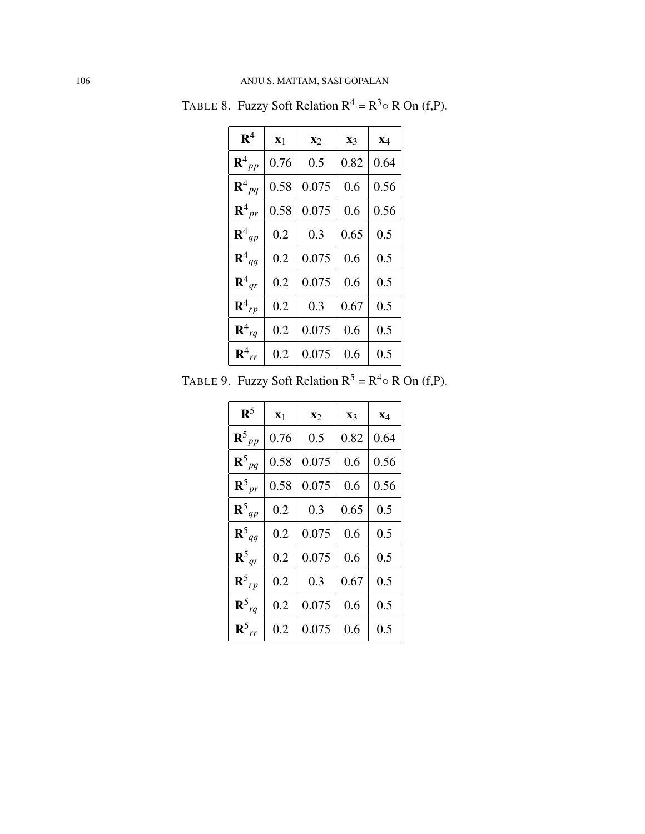| $\mathbf{R}^4$        | $\mathbf{X}_1$ | $\mathbf{x}_2$ | $\mathbf{X}_3$ | $X_4$ |
|-----------------------|----------------|----------------|----------------|-------|
| ${\bf R}^4{}_{pp}$    | 0.76           | 0.5            | 0.82           | 0.64  |
| ${\bf R}^4{}_{pq}$    | 0.58           | 0.075          | 0.6            | 0.56  |
| ${\bf R}^4{}_{pr}$    | 0.58           | 0.075          | 0.6            | 0.56  |
| ${\bf R}^4_{qp}$      | 0.2            | 0.3            | 0.65           | 0.5   |
| ${\bf R}^4_{qq}$      | 0.2            | 0.075          | 0.6            | 0.5   |
| ${\bf R}^4{}_{ar}$    | 0.2            | 0.075          | 0.6            | 0.5   |
| $\mathbf{R}^4{}_{rp}$ | 0.2            | 0.3            | 0.67           | 0.5   |
| ${\bf R}^4{}_{rq}$    | 0.2            | 0.075          | 0.6            | 0.5   |
| ${\bf R}^4{}_{rr}$    | 0.2            | 0.075          | 0.6            | 0.5   |

TABLE 8. Fuzzy Soft Relation  $R^4 = R^3 \circ R$  On (f,P).

TABLE 9. Fuzzy Soft Relation  $R^5 = R^4 \circ R$  On (f,P).

| $\mathbf{R}^5$     | $\mathbf{X}_1$ | $\mathbf{X}$ | $\mathbf{x}_3$ | $X_4$ |
|--------------------|----------------|--------------|----------------|-------|
| ${\bf R}^5{}_{pp}$ | 0.76           | 0.5          | 0.82           | 0.64  |
| ${\bf R}^5{}_{pq}$ | 0.58           | 0.075        | 0.6            | 0.56  |
| $R_{pr}^5$         | 0.58           | 0.075        | 0.6            | 0.56  |
| ${\bf R}^5{}_{qp}$ | 0.2            | 0.3          | 0.65           | 0.5   |
| ${\bf R}^5_{qq}$   | 0.2            | 0.075        | 0.6            | 0.5   |
| ${\bf R}^5{}_{qr}$ | 0.2            | 0.075        | 0.6            | 0.5   |
| ${\bf R}^5{}_{rp}$ | 0.2            | 0.3          | 0.67           | 0.5   |
| ${\bf R}^5{}_{rq}$ | 0.2            | 0.075        | 0.6            | 0.5   |
| $R_{rr}^5$         | 0.2            | 0.075        | 0.6            | 0.5   |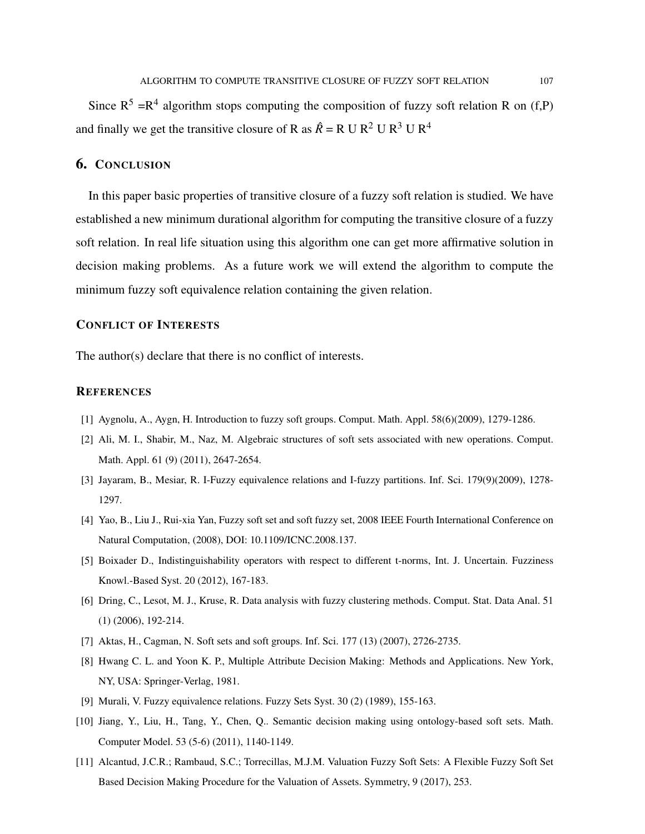Since  $R^5 = R^4$  algorithm stops computing the composition of fuzzy soft relation R on (f,P) and finally we get the transitive closure of R as  $\hat{R} = R U R^2 U R^3 U R^4$ 

# 6. CONCLUSION

In this paper basic properties of transitive closure of a fuzzy soft relation is studied. We have established a new minimum durational algorithm for computing the transitive closure of a fuzzy soft relation. In real life situation using this algorithm one can get more affirmative solution in decision making problems. As a future work we will extend the algorithm to compute the minimum fuzzy soft equivalence relation containing the given relation.

### CONFLICT OF INTERESTS

The author(s) declare that there is no conflict of interests.

#### **REFERENCES**

- [1] Aygnolu, A., Aygn, H. Introduction to fuzzy soft groups. Comput. Math. Appl. 58(6)(2009), 1279-1286.
- [2] Ali, M. I., Shabir, M., Naz, M. Algebraic structures of soft sets associated with new operations. Comput. Math. Appl. 61 (9) (2011), 2647-2654.
- [3] Jayaram, B., Mesiar, R. I-Fuzzy equivalence relations and I-fuzzy partitions. Inf. Sci. 179(9)(2009), 1278- 1297.
- [4] Yao, B., Liu J., Rui-xia Yan, Fuzzy soft set and soft fuzzy set, 2008 IEEE Fourth International Conference on Natural Computation, (2008), DOI: 10.1109/ICNC.2008.137.
- [5] Boixader D., Indistinguishability operators with respect to different t-norms, Int. J. Uncertain. Fuzziness Knowl.-Based Syst. 20 (2012), 167-183.
- [6] Dring, C., Lesot, M. J., Kruse, R. Data analysis with fuzzy clustering methods. Comput. Stat. Data Anal. 51 (1) (2006), 192-214.
- [7] Aktas, H., Cagman, N. Soft sets and soft groups. Inf. Sci. 177 (13) (2007), 2726-2735.
- [8] Hwang C. L. and Yoon K. P., Multiple Attribute Decision Making: Methods and Applications. New York, NY, USA: Springer-Verlag, 1981.
- [9] Murali, V. Fuzzy equivalence relations. Fuzzy Sets Syst. 30 (2) (1989), 155-163.
- [10] Jiang, Y., Liu, H., Tang, Y., Chen, Q.. Semantic decision making using ontology-based soft sets. Math. Computer Model. 53 (5-6) (2011), 1140-1149.
- [11] Alcantud, J.C.R.; Rambaud, S.C.; Torrecillas, M.J.M. Valuation Fuzzy Soft Sets: A Flexible Fuzzy Soft Set Based Decision Making Procedure for the Valuation of Assets. Symmetry, 9 (2017), 253.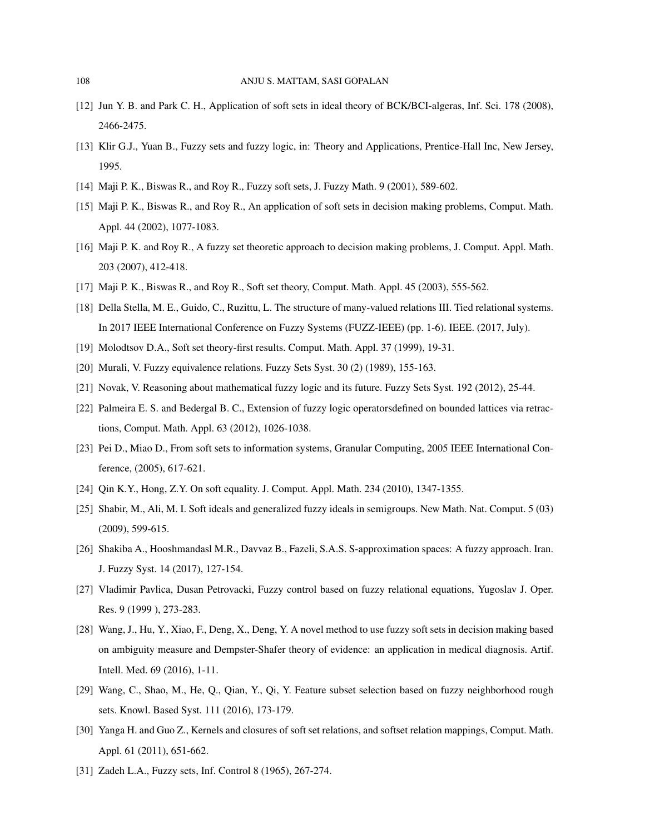- [12] Jun Y. B. and Park C. H., Application of soft sets in ideal theory of BCK/BCI-algeras, Inf. Sci. 178 (2008), 2466-2475.
- [13] Klir G.J., Yuan B., Fuzzy sets and fuzzy logic, in: Theory and Applications, Prentice-Hall Inc, New Jersey, 1995.
- [14] Maji P. K., Biswas R., and Roy R., Fuzzy soft sets, J. Fuzzy Math. 9 (2001), 589-602.
- [15] Maji P. K., Biswas R., and Roy R., An application of soft sets in decision making problems, Comput. Math. Appl. 44 (2002), 1077-1083.
- [16] Maji P. K. and Roy R., A fuzzy set theoretic approach to decision making problems, J. Comput. Appl. Math. 203 (2007), 412-418.
- [17] Maji P. K., Biswas R., and Roy R., Soft set theory, Comput. Math. Appl. 45 (2003), 555-562.
- [18] Della Stella, M. E., Guido, C., Ruzittu, L. The structure of many-valued relations III. Tied relational systems. In 2017 IEEE International Conference on Fuzzy Systems (FUZZ-IEEE) (pp. 1-6). IEEE. (2017, July).
- [19] Molodtsov D.A., Soft set theory-first results. Comput. Math. Appl. 37 (1999), 19-31.
- [20] Murali, V. Fuzzy equivalence relations. Fuzzy Sets Syst. 30 (2) (1989), 155-163.
- [21] Novak, V. Reasoning about mathematical fuzzy logic and its future. Fuzzy Sets Syst. 192 (2012), 25-44.
- [22] Palmeira E. S. and Bedergal B. C., Extension of fuzzy logic operatorsdefined on bounded lattices via retractions, Comput. Math. Appl. 63 (2012), 1026-1038.
- [23] Pei D., Miao D., From soft sets to information systems, Granular Computing, 2005 IEEE International Conference, (2005), 617-621.
- [24] Qin K.Y., Hong, Z.Y. On soft equality. J. Comput. Appl. Math. 234 (2010), 1347-1355.
- [25] Shabir, M., Ali, M. I. Soft ideals and generalized fuzzy ideals in semigroups. New Math. Nat. Comput. 5 (03) (2009), 599-615.
- [26] Shakiba A., Hooshmandasl M.R., Davvaz B., Fazeli, S.A.S. S-approximation spaces: A fuzzy approach. Iran. J. Fuzzy Syst. 14 (2017), 127-154.
- [27] Vladimir Pavlica, Dusan Petrovacki, Fuzzy control based on fuzzy relational equations, Yugoslav J. Oper. Res. 9 (1999 ), 273-283.
- [28] Wang, J., Hu, Y., Xiao, F., Deng, X., Deng, Y. A novel method to use fuzzy soft sets in decision making based on ambiguity measure and Dempster-Shafer theory of evidence: an application in medical diagnosis. Artif. Intell. Med. 69 (2016), 1-11.
- [29] Wang, C., Shao, M., He, Q., Qian, Y., Qi, Y. Feature subset selection based on fuzzy neighborhood rough sets. Knowl. Based Syst. 111 (2016), 173-179.
- [30] Yanga H. and Guo Z., Kernels and closures of soft set relations, and softset relation mappings, Comput. Math. Appl. 61 (2011), 651-662.
- [31] Zadeh L.A., Fuzzy sets, Inf. Control 8 (1965), 267-274.